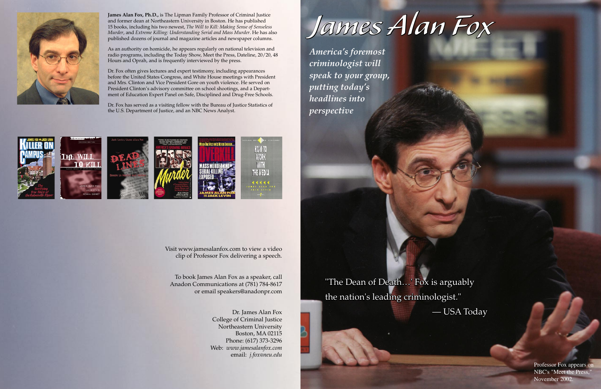# James Alan Fox

"The Dean of Death…' Fox is arguably the nation's leading criminologist." — USA Today





Professor Fox appears on NBC's "Meet the Press," November 2002.

Visit www.jamesalanfox.com to view a video clip of Professor Fox delivering a speech.

To book James Alan Fox as a speaker, call Anadon Communications at (781) 784-8617 or email speakers@anadonpr.com

> Dr. James Alan Fox College of Criminal Justice Northeastern University Boston, MA 02115 Phone: (617) 373-3296 Web: *www.jamesalanfox.com* email: *j.fox@neu.edu*



**James Alan Fox, Ph.D.,** is The Lipman Family Professor of Criminal Justice and former dean at Northeastern University in Boston. He has published 15 books, including his two newest, *The Will to Kill: Making Sense of Senseless Murder*, and *Extreme Killing: Understanding Serial and Mass Murder*. He has also published dozens of journal and magazine articles and newspaper columns.

As an authority on homicide, he appears regularly on national television and radio programs, including the Today Show, Meet the Press, Dateline, 20/20, 48 Hours and Oprah, and is frequently interviewed by the press.

Dr. Fox often gives lectures and expert testimony, including appearances before the United States Congress, and White House meetings with President and Mrs. Clinton and Vice President Gore on youth violence. He served on President Clinton's advisory committee on school shootings, and a Department of Education Expert Panel on Safe, Disciplined and Drug-Free Schools.

Dr. Fox has served as a visiting fellow with the Bureau of Justice Statistics of the U.S. Department of Justice, and an NBC News Analyst.



*America's foremost criminologist will speak to your group, putting today's headlines into perspective*